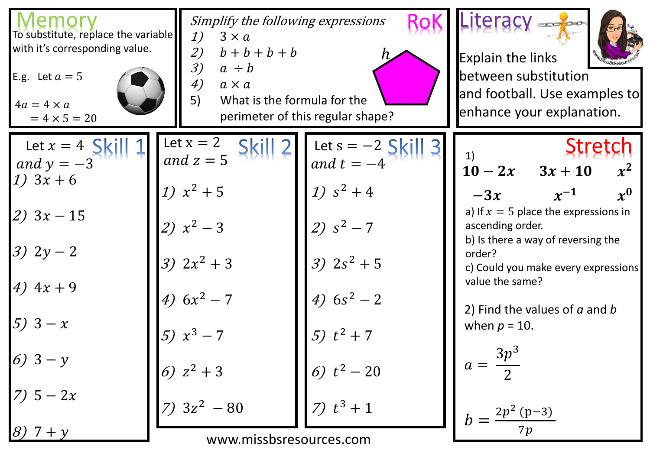| emory<br>To substitute, replace the variable<br>with it's corresponding value.<br>E.g. Let $a = 5$<br>$4a = 4 \times a$<br>$= 4 \times 5 = 20$ | Simplify the following expressions<br>1)<br>$3 \times a$<br>$b+b+b+b$<br>2)<br>3)<br>$a \div b$<br>4)<br>$a \times a$<br>5)<br>What is the formula for the | perimeter of this regular shape?     | Literacy assigned<br><b>Explain the links</b><br>between substitution<br>and football. Use examples to<br>enhance your explanation. |
|------------------------------------------------------------------------------------------------------------------------------------------------|------------------------------------------------------------------------------------------------------------------------------------------------------------|--------------------------------------|-------------------------------------------------------------------------------------------------------------------------------------|
| Let $x = 4$ S<br>and $y = -3$                                                                                                                  | Let $x = 2$<br>and $z = 5$                                                                                                                                 | Let $s = -2$ Skill 3<br>and $t = -4$ | <b>Stretch</b><br>$x^2$<br>$10-2x$ $3x+10$                                                                                          |
| 1) $3x + 6$<br>$ 2)$ 3x - 15                                                                                                                   | 1) $x^2 + 5$<br>2) $x^2-3$                                                                                                                                 | 1) $s^2 + 4$<br>2) $s^2 - 7$         | $\boldsymbol{x^0}$<br>$x^{-1}$<br>$-3x$<br>a) If $x = 5$ place the expressions in<br>ascending order.                               |
| $3) 2y - 2$                                                                                                                                    | 3) $2x^2 + 3$                                                                                                                                              | 3) $2s^2 + 5$                        | b) Is there a way of reversing the<br>order?<br>c) Could you make every expressions                                                 |
| 4) $4x + 9$                                                                                                                                    | 4) $6x^2 - 7$                                                                                                                                              | 4) $6s^2 - 2$                        | value the same?<br>2) Find the values of $a$ and $b$                                                                                |
| $(5)$ 3 - x                                                                                                                                    | $5) x^3 - 7$                                                                                                                                               | 5) $t^2 + 7$                         | when $p = 10$ .                                                                                                                     |
| 6) $3 - y$                                                                                                                                     | 6) $z^2 + 3$                                                                                                                                               | 6) $t^2 - 20$                        | $\frac{3p^3}{2}$<br>$a =$                                                                                                           |
| $-2x$                                                                                                                                          | $ 7)$ 3z <sup>2</sup> - 80                                                                                                                                 | 7) $t^3 + 1$                         | $2p^2 (p-3)$                                                                                                                        |
| 8)<br>$7 + y$                                                                                                                                  | www.missbsresources.com                                                                                                                                    |                                      |                                                                                                                                     |